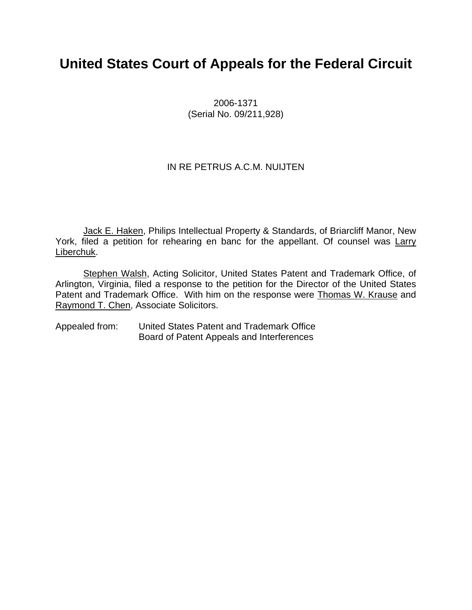## **United States Court of Appeals for the Federal Circuit**

2006-1371 (Serial No. 09/211,928)

#### IN RE PETRUS A.C.M. NUIJTEN

Jack E. Haken, Philips Intellectual Property & Standards, of Briarcliff Manor, New York, filed a petition for rehearing en banc for the appellant. Of counsel was Larry Liberchuk.

Stephen Walsh, Acting Solicitor, United States Patent and Trademark Office, of Arlington, Virginia, filed a response to the petition for the Director of the United States Patent and Trademark Office. With him on the response were Thomas W. Krause and Raymond T. Chen, Associate Solicitors.

Appealed from: United States Patent and Trademark Office Board of Patent Appeals and Interferences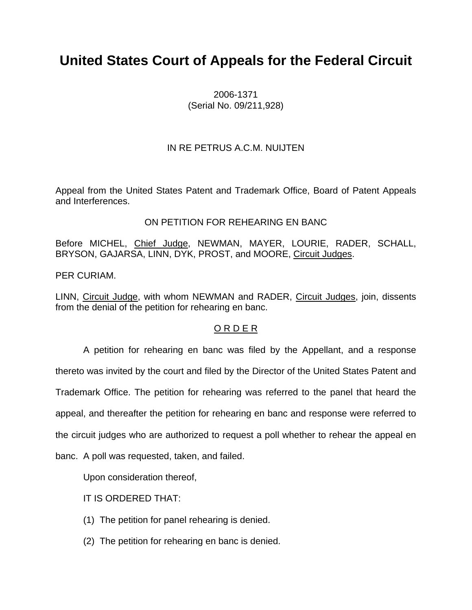# **United States Court of Appeals for the Federal Circuit**

2006-1371 (Serial No. 09/211,928)

#### IN RE PETRUS A.C.M. NUIJTEN

Appeal from the United States Patent and Trademark Office, Board of Patent Appeals and Interferences.

#### ON PETITION FOR REHEARING EN BANC

Before MICHEL, Chief Judge, NEWMAN, MAYER, LOURIE, RADER, SCHALL, BRYSON, GAJARSA, LINN, DYK, PROST, and MOORE, Circuit Judges.

PER CURIAM.

LINN, Circuit Judge, with whom NEWMAN and RADER, Circuit Judges, join, dissents from the denial of the petition for rehearing en banc.

#### O R D E R

A petition for rehearing en banc was filed by the Appellant, and a response thereto was invited by the court and filed by the Director of the United States Patent and Trademark Office. The petition for rehearing was referred to the panel that heard the appeal, and thereafter the petition for rehearing en banc and response were referred to

the circuit judges who are authorized to request a poll whether to rehear the appeal en

banc. A poll was requested, taken, and failed.

Upon consideration thereof,

IT IS ORDERED THAT:

- (1) The petition for panel rehearing is denied.
- (2) The petition for rehearing en banc is denied.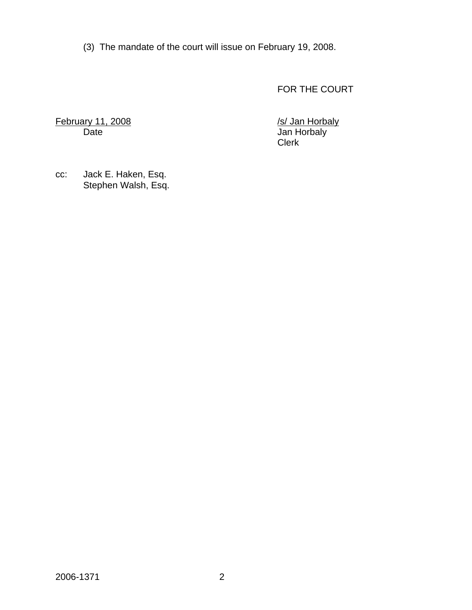(3) The mandate of the court will issue on February 19, 2008.

FOR THE COURT

February 11, 2008 **/s/ Jan Horbaly** 

Date Jan Horbaly<br>Clerk **Clerk** (2007) and the contract of the contract of the Clerk

cc: Jack E. Haken, Esq. Stephen Walsh, Esq.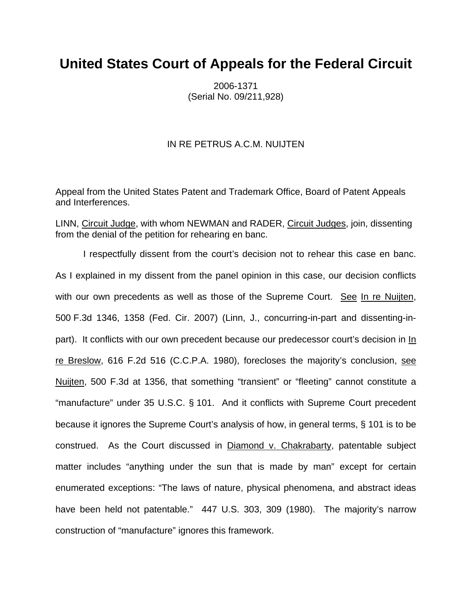### **United States Court of Appeals for the Federal Circuit**

2006-1371 (Serial No. 09/211,928)

#### IN RE PETRUS A.C.M. NUIJTEN

Appeal from the United States Patent and Trademark Office, Board of Patent Appeals and Interferences.

LINN, Circuit Judge, with whom NEWMAN and RADER, Circuit Judges, join, dissenting from the denial of the petition for rehearing en banc.

I respectfully dissent from the court's decision not to rehear this case en banc. As I explained in my dissent from the panel opinion in this case, our decision conflicts with our own precedents as well as those of the Supreme Court. See In re Nuijten, 500 F.3d 1346, 1358 (Fed. Cir. 2007) (Linn, J., concurring-in-part and dissenting-inpart). It conflicts with our own precedent because our predecessor court's decision in In re Breslow, 616 F.2d 516 (C.C.P.A. 1980), forecloses the majority's conclusion, see Nuijten, 500 F.3d at 1356, that something "transient" or "fleeting" cannot constitute a "manufacture" under 35 U.S.C. § 101. And it conflicts with Supreme Court precedent because it ignores the Supreme Court's analysis of how, in general terms, § 101 is to be construed. As the Court discussed in Diamond v. Chakrabarty, patentable subject matter includes "anything under the sun that is made by man" except for certain enumerated exceptions: "The laws of nature, physical phenomena, and abstract ideas have been held not patentable." 447 U.S. 303, 309 (1980). The majority's narrow construction of "manufacture" ignores this framework.